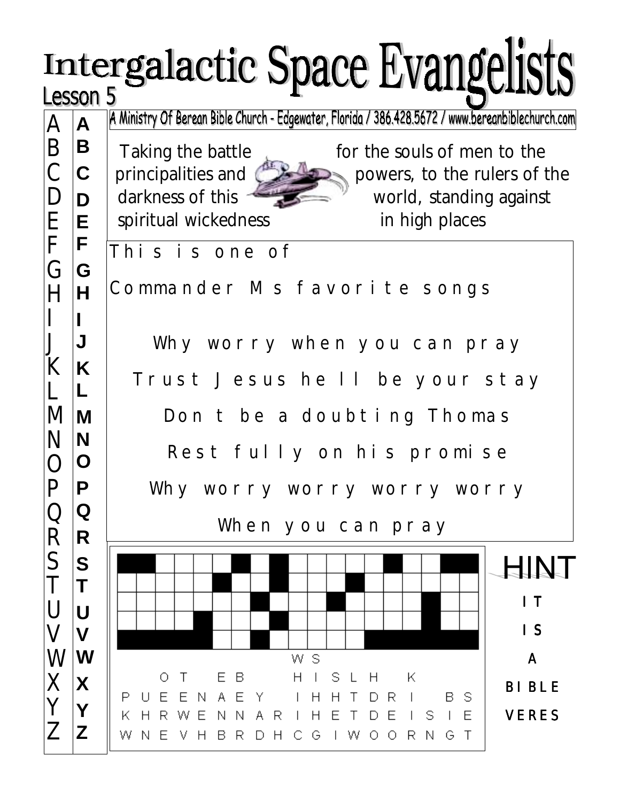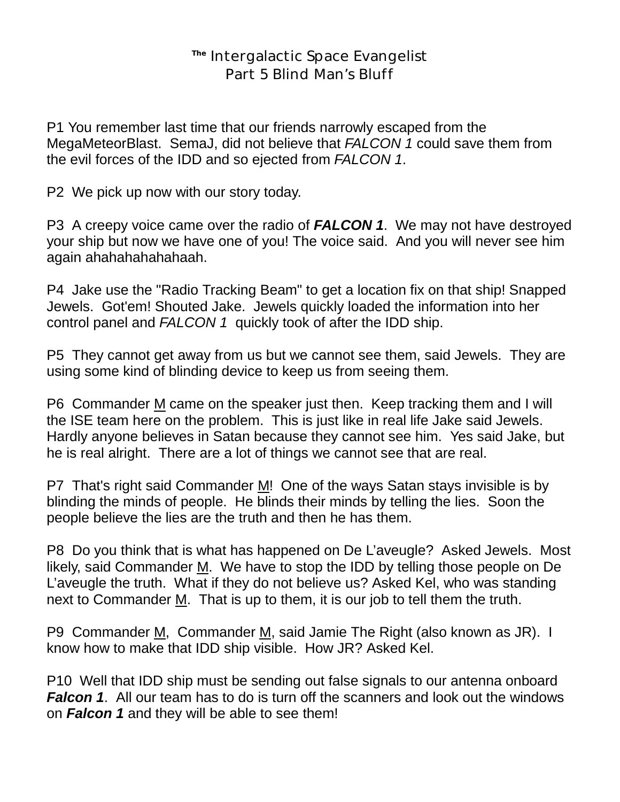## **The** Intergalactic Space Evangelist Part 5 Blind Man's Bluff

P1 You remember last time that our friends narrowly escaped from the MegaMeteorBlast. SemaJ, did not believe that *FALCON 1* could save them from the evil forces of the IDD and so ejected from *FALCON 1*.

P2 We pick up now with our story today.

P3 A creepy voice came over the radio of *FALCON 1*. We may not have destroyed your ship but now we have one of you! The voice said. And you will never see him again ahahahahahahaah.

P4 Jake use the "Radio Tracking Beam" to get a location fix on that ship! Snapped Jewels. Got'em! Shouted Jake. Jewels quickly loaded the information into her control panel and *FALCON 1* quickly took of after the IDD ship.

P5 They cannot get away from us but we cannot see them, said Jewels. They are using some kind of blinding device to keep us from seeing them.

P6 Commander M came on the speaker just then. Keep tracking them and I will the ISE team here on the problem. This is just like in real life Jake said Jewels. Hardly anyone believes in Satan because they cannot see him. Yes said Jake, but he is real alright. There are a lot of things we cannot see that are real.

P7 That's right said Commander M! One of the ways Satan stays invisible is by blinding the minds of people. He blinds their minds by telling the lies. Soon the people believe the lies are the truth and then he has them.

P8 Do you think that is what has happened on De L'aveugle? Asked Jewels. Most likely, said Commander  $M$ . We have to stop the IDD by telling those people on De L'aveugle the truth. What if they do not believe us? Asked Kel, who was standing next to Commander M. That is up to them, it is our job to tell them the truth.

P9 Commander M, Commander M, said Jamie The Right (also known as JR). I know how to make that IDD ship visible. How JR? Asked Kel.

P10 Well that IDD ship must be sending out false signals to our antenna onboard *Falcon 1*. All our team has to do is turn off the scanners and look out the windows on *Falcon 1* and they will be able to see them!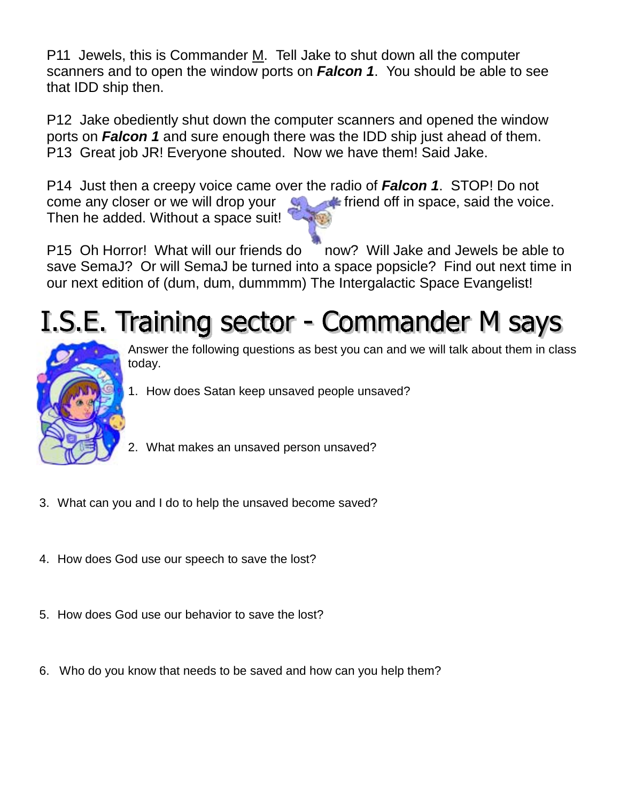P11 Jewels, this is Commander M. Tell Jake to shut down all the computer scanners and to open the window ports on *Falcon 1*. You should be able to see that IDD ship then.

P12 Jake obediently shut down the computer scanners and opened the window ports on *Falcon 1* and sure enough there was the IDD ship just ahead of them. P13 Great job JR! Everyone shouted. Now we have them! Said Jake.

P14 Just then a creepy voice came over the radio of *Falcon 1*. STOP! Do not come any closer or we will drop your  $\Box$  friend off in space, said the voice. Then he added. Without a space suit!

P15 Oh Horror! What will our friends do now? Will Jake and Jewels be able to save SemaJ? Or will SemaJ be turned into a space popsicle? Find out next time in our next edition of (dum, dum, dummmm) The Intergalactic Space Evangelist!

## I.S.E. Training sector - Commander M says



Answer the following questions as best you can and we will talk about them in class today.

- 1. How does Satan keep unsaved people unsaved?
- 2. What makes an unsaved person unsaved?
- 3. What can you and I do to help the unsaved become saved?
- 4. How does God use our speech to save the lost?
- 5. How does God use our behavior to save the lost?
- 6. Who do you know that needs to be saved and how can you help them?